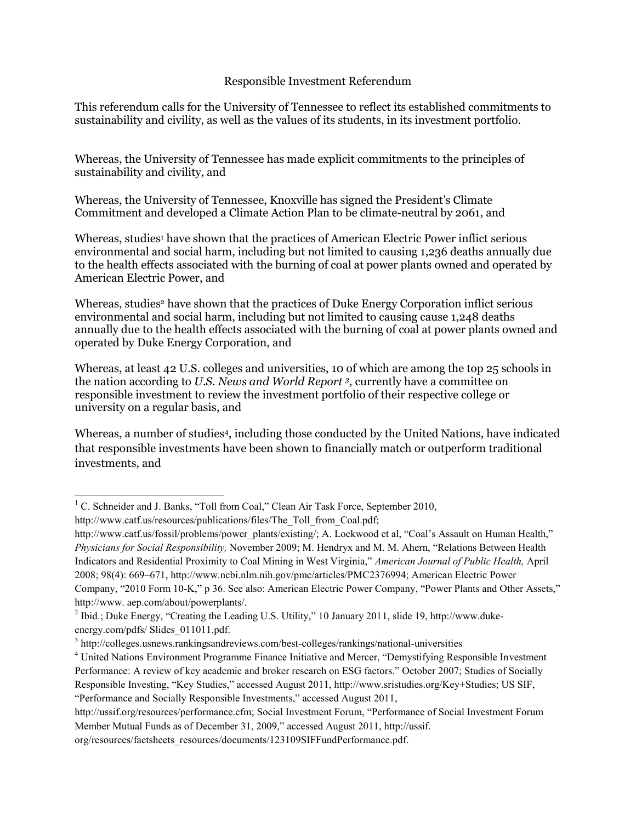## Responsible Investment Referendum

This referendum calls for the University of Tennessee to reflect its established commitments to sustainability and civility, as well as the values of its students, in its investment portfolio.

Whereas, the University of Tennessee has made explicit commitments to the principles of sustainability and civility, and

Whereas, the University of Tennessee, Knoxville has signed the President's Climate Commitment and developed a Climate Action Plan to be climate-neutral by 2061, and

Whereas, studies<sup>1</sup> have shown that the practices of American Electric Power inflict serious environmental and social harm, including but not limited to causing 1,236 deaths annually due to the health effects associated with the burning of coal at power plants owned and operated by American Electric Power, and

Whereas, studies<sup>2</sup> have shown that the practices of Duke Energy Corporation inflict serious environmental and social harm, including but not limited to causing cause 1,248 deaths annually due to the health effects associated with the burning of coal at power plants owned and operated by Duke Energy Corporation, and

Whereas, at least 42 U.S. colleges and universities, 10 of which are among the top 25 schools in the nation according to *U.S. News and World Report <sup>3</sup>* , currently have a committee on responsible investment to review the investment portfolio of their respective college or university on a regular basis, and

Whereas, a number of studies<sup>4</sup>, including those conducted by the United Nations, have indicated that responsible investments have been shown to financially match or outperform traditional investments, and

<sup>&</sup>lt;sup>1</sup> C. Schneider and J. Banks, "Toll from Coal," Clean Air Task Force, September 2010,

http://www.catf.us/resources/publications/files/The\_Toll\_from\_Coal.pdf;

http://www.catf.us/fossil/problems/power\_plants/existing/; A. Lockwood et al, "Coal's Assault on Human Health," *Physicians for Social Responsibility,* November 2009; M. Hendryx and M. M. Ahern, "Relations Between Health Indicators and Residential Proximity to Coal Mining in West Virginia," *American Journal of Public Health,* April 2008; 98(4): 669–671, http://www.ncbi.nlm.nih.gov/pmc/articles/PMC2376994; American Electric Power Company, "2010 Form 10-K," p 36. See also: American Electric Power Company, "Power Plants and Other Assets," http://www. aep.com/about/powerplants/.

<sup>&</sup>lt;sup>2</sup> Ibid.; Duke Energy, "Creating the Leading U.S. Utility," 10 January 2011, slide 19, http://www.dukeenergy.com/pdfs/ Slides\_011011.pdf.

<sup>&</sup>lt;sup>3</sup> http://colleges.usnews.rankingsandreviews.com/best-colleges/rankings/national-universities

<sup>4</sup> United Nations Environment Programme Finance Initiative and Mercer, "Demystifying Responsible Investment Performance: A review of key academic and broker research on ESG factors." October 2007; Studies of Socially Responsible Investing, "Key Studies," accessed August 2011, http://www.sristudies.org/Key+Studies; US SIF, "Performance and Socially Responsible Investments," accessed August 2011,

http://ussif.org/resources/performance.cfm; Social Investment Forum, "Performance of Social Investment Forum Member Mutual Funds as of December 31, 2009," accessed August 2011, http://ussif.

org/resources/factsheets\_resources/documents/123109SIFFundPerformance.pdf.